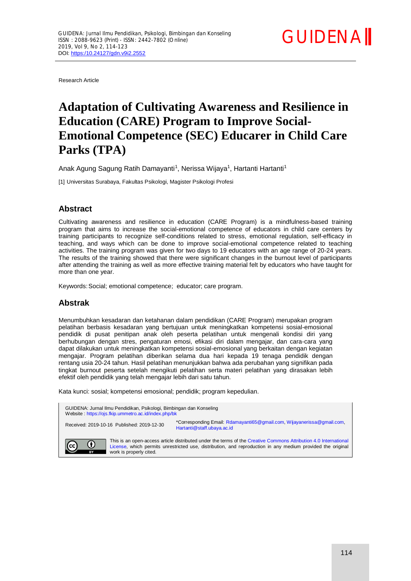

Research Article

# **Adaptation of Cultivating Awareness and Resilience in Education (CARE) Program to Improve Social-Emotional Competence (SEC) Educarer in Child Care Parks (TPA)**

Anak Agung Sagung Ratih Damayanti<sup>1</sup>, Nerissa Wijaya<sup>1</sup>, Hartanti Hartanti<sup>1</sup>

[1] Universitas Surabaya, Fakultas Psikologi, Magister Psikologi Profesi

## **Abstract**

Cultivating awareness and resilience in education (CARE Program) is a mindfulness-based training program that aims to increase the social-emotional competence of educators in child care centers by training participants to recognize self-conditions related to stress, emotional regulation, self-efficacy in teaching, and ways which can be done to improve social-emotional competence related to teaching activities. The training program was given for two days to 19 educators with an age range of 20-24 years. The results of the training showed that there were significant changes in the burnout level of participants after attending the training as well as more effective training material felt by educators who have taught for more than one year.

Keywords:Social; emotional competence; educator; care program.

## **Abstrak**

Menumbuhkan kesadaran dan ketahanan dalam pendidikan (CARE Program) merupakan program pelatihan berbasis kesadaran yang bertujuan untuk meningkatkan kompetensi sosial-emosional pendidik di pusat penitipan anak oleh peserta pelatihan untuk mengenali kondisi diri yang berhubungan dengan stres, pengaturan emosi, efikasi diri dalam mengajar, dan cara-cara yang dapat dilakukan untuk meningkatkan kompetensi sosial-emosional yang berkaitan dengan kegiatan mengajar. Program pelatihan diberikan selama dua hari kepada 19 tenaga pendidik dengan rentang usia 20-24 tahun. Hasil pelatihan menunjukkan bahwa ada perubahan yang signifikan pada tingkat burnout peserta setelah mengikuti pelatihan serta materi pelatihan yang dirasakan lebih efektif oleh pendidik yang telah mengajar lebih dari satu tahun.

Kata kunci: sosial; kompetensi emosional; pendidik; program kepedulian.

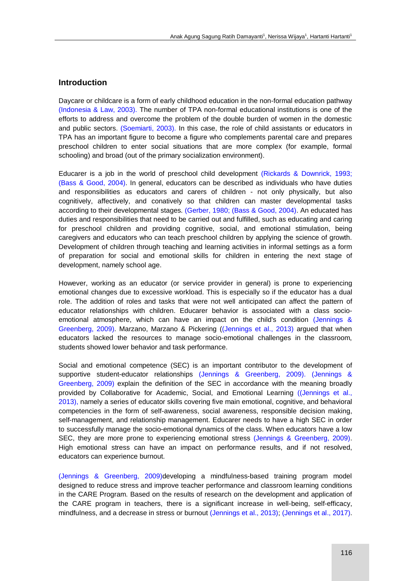## **Introduction**

Daycare or childcare is a form of early childhood education in the non-formal education pathway (Indonesia & Law, 2003). The number of TPA non-formal educational institutions is one of the efforts to address and overcome the problem of the double burden of women in the domestic and public sectors. (Soemiarti, 2003). In this case, the role of child assistants or educators in TPA has an important figure to become a figure who complements parental care and prepares preschool children to enter social situations that are more complex (for example, formal schooling) and broad (out of the primary socialization environment).

Educarer is a job in the world of preschool child development (Rickards & Downrick, 1993; (Bass & Good, 2004). In general, educators can be described as individuals who have duties and responsibilities as educators and carers of children - not only physically, but also cognitively, affectively, and conatively so that children can master developmental tasks according to their developmental stages. (Gerber, 1980; (Bass & Good, 2004). An educated has duties and responsibilities that need to be carried out and fulfilled, such as educating and caring for preschool children and providing cognitive, social, and emotional stimulation, being caregivers and educators who can teach preschool children by applying the science of growth. Development of children through teaching and learning activities in informal settings as a form of preparation for social and emotional skills for children in entering the next stage of development, namely school age.

However, working as an educator (or service provider in general) is prone to experiencing emotional changes due to excessive workload. This is especially so if the educator has a dual role. The addition of roles and tasks that were not well anticipated can affect the pattern of educator relationships with children. Educarer behavior is associated with a class socioemotional atmosphere, which can have an impact on the child's condition (Jennings & Greenberg, 2009). Marzano, Marzano & Pickering ((Jennings et al., 2013) argued that when educators lacked the resources to manage socio-emotional challenges in the classroom, students showed lower behavior and task performance.

Social and emotional competence (SEC) is an important contributor to the development of supportive student-educator relationships (Jennings & Greenberg, 2009). (Jennings & Greenberg, 2009) explain the definition of the SEC in accordance with the meaning broadly provided by Collaborative for Academic, Social, and Emotional Learning ((Jennings et al., 2013), namely a series of educator skills covering five main emotional, cognitive, and behavioral competencies in the form of self-awareness, social awareness, responsible decision making, self-management, and relationship management. Educarer needs to have a high SEC in order to successfully manage the socio-emotional dynamics of the class. When educators have a low SEC, they are more prone to experiencing emotional stress (Jennings & Greenberg, 2009). High emotional stress can have an impact on performance results, and if not resolved, educators can experience burnout.

(Jennings & Greenberg, 2009)developing a mindfulness-based training program model designed to reduce stress and improve teacher performance and classroom learning conditions in the CARE Program. Based on the results of research on the development and application of the CARE program in teachers, there is a significant increase in well-being, self-efficacy, mindfulness, and a decrease in stress or burnout (Jennings et al., 2013); (Jennings et al., 2017).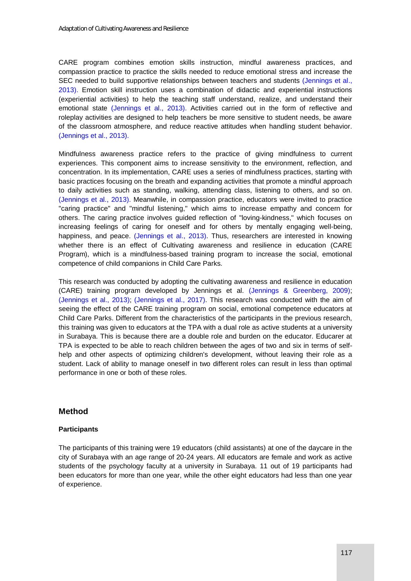CARE program combines emotion skills instruction, mindful awareness practices, and compassion practice to practice the skills needed to reduce emotional stress and increase the SEC needed to build supportive relationships between teachers and students (Jennings et al., 2013). Emotion skill instruction uses a combination of didactic and experiential instructions (experiential activities) to help the teaching staff understand, realize, and understand their emotional state (Jennings et al., 2013). Activities carried out in the form of reflective and roleplay activities are designed to help teachers be more sensitive to student needs, be aware of the classroom atmosphere, and reduce reactive attitudes when handling student behavior. (Jennings et al., 2013).

Mindfulness awareness practice refers to the practice of giving mindfulness to current experiences. This component aims to increase sensitivity to the environment, reflection, and concentration. In its implementation, CARE uses a series of mindfulness practices, starting with basic practices focusing on the breath and expanding activities that promote a mindful approach to daily activities such as standing, walking, attending class, listening to others, and so on. (Jennings et al., 2013). Meanwhile, in compassion practice, educators were invited to practice "caring practice" and "mindful listening," which aims to increase empathy and concern for others. The caring practice involves guided reflection of "loving-kindness," which focuses on increasing feelings of caring for oneself and for others by mentally engaging well-being, happiness, and peace. (Jennings et al., 2013). Thus, researchers are interested in knowing whether there is an effect of Cultivating awareness and resilience in education (CARE Program), which is a mindfulness-based training program to increase the social, emotional competence of child companions in Child Care Parks.

This research was conducted by adopting the cultivating awareness and resilience in education (CARE) training program developed by Jennings et al. (Jennings & Greenberg, 2009); (Jennings et al., 2013); (Jennings et al., 2017). This research was conducted with the aim of seeing the effect of the CARE training program on social, emotional competence educators at Child Care Parks. Different from the characteristics of the participants in the previous research, this training was given to educators at the TPA with a dual role as active students at a university in Surabaya. This is because there are a double role and burden on the educator. Educarer at TPA is expected to be able to reach children between the ages of two and six in terms of selfhelp and other aspects of optimizing children's development, without leaving their role as a student. Lack of ability to manage oneself in two different roles can result in less than optimal performance in one or both of these roles.

## **Method**

#### **Participants**

The participants of this training were 19 educators (child assistants) at one of the daycare in the city of Surabaya with an age range of 20-24 years. All educators are female and work as active students of the psychology faculty at a university in Surabaya. 11 out of 19 participants had been educators for more than one year, while the other eight educators had less than one year of experience.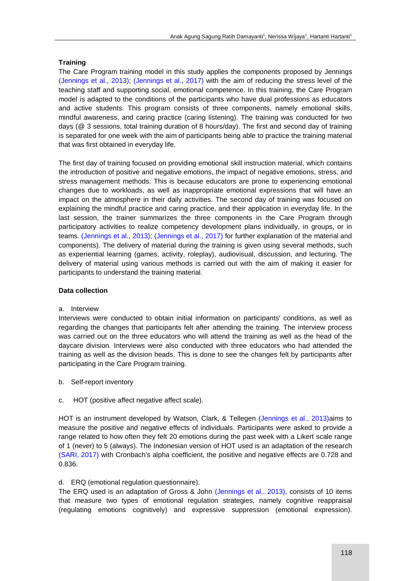#### **Training**

The Care Program training model in this study applies the components proposed by Jennings (Jennings et al., 2013); (Jennings et al., 2017) with the aim of reducing the stress level of the teaching staff and supporting social, emotional competence. In this training, the Care Program model is adapted to the conditions of the participants who have dual professions as educators and active students. This program consists of three components, namely emotional skills, mindful awareness, and caring practice (caring listening). The training was conducted for two days (@ 3 sessions, total training duration of 8 hours/day). The first and second day of training is separated for one week with the aim of participants being able to practice the training material that was first obtained in everyday life.

The first day of training focused on providing emotional skill instruction material, which contains the introduction of positive and negative emotions, the impact of negative emotions, stress, and stress management methods. This is because educators are prone to experiencing emotional changes due to workloads, as well as inappropriate emotional expressions that will have an impact on the atmosphere in their daily activities. The second day of training was focused on explaining the mindful practice and caring practice, and their application in everyday life. In the last session, the trainer summarizes the three components in the Care Program through participatory activities to realize competency development plans individually, in groups, or in teams. (Jennings et al., 2013); (Jennings et al., 2017) for further explanation of the material and components). The delivery of material during the training is given using several methods, such as experiential learning (games, activity, roleplay), audiovisual, discussion, and lecturing. The delivery of material using various methods is carried out with the aim of making it easier for participants to understand the training material.

#### **Data collection**

#### a. Interview

Interviews were conducted to obtain initial information on participants' conditions, as well as regarding the changes that participants felt after attending the training. The interview process was carried out on the three educators who will attend the training as well as the head of the daycare division. Interviews were also conducted with three educators who had attended the training as well as the division heads. This is done to see the changes felt by participants after participating in the Care Program training.

- b. Self-report inventory
- c. HOT (positive affect negative affect scale).

HOT is an instrument developed by Watson, Clark, & Tellegen (Jennings et al., 2013)aims to measure the positive and negative effects of individuals. Participants were asked to provide a range related to how often they felt 20 emotions during the past week with a Likert scale range of 1 (never) to 5 (always). The Indonesian version of HOT used is an adaptation of the research (SARI, 2017) with Cronbach's alpha coefficient, the positive and negative effects are 0.728 and 0.836.

#### d. ERQ (emotional regulation questionnaire).

The ERQ used is an adaptation of Gross & John (Jennings et al., 2013), consists of 10 items that measure two types of emotional regulation strategies, namely cognitive reappraisal (regulating emotions cognitively) and expressive suppression (emotional expression).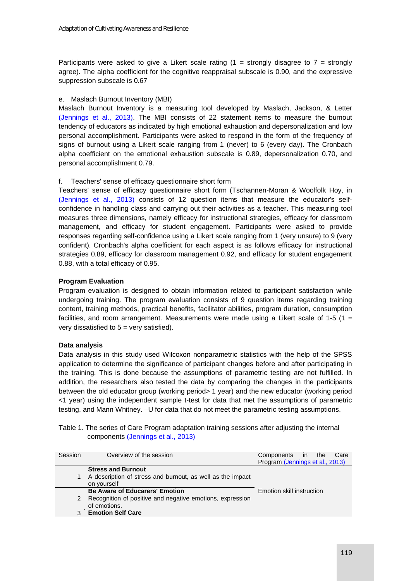Participants were asked to give a Likert scale rating (1 = strongly disagree to 7 = strongly agree). The alpha coefficient for the cognitive reappraisal subscale is 0.90, and the expressive suppression subscale is 0.67

#### e. Maslach Burnout Inventory (MBI)

Maslach Burnout Inventory is a measuring tool developed by Maslach, Jackson, & Letter (Jennings et al., 2013). The MBI consists of 22 statement items to measure the burnout tendency of educators as indicated by high emotional exhaustion and depersonalization and low personal accomplishment. Participants were asked to respond in the form of the frequency of signs of burnout using a Likert scale ranging from 1 (never) to 6 (every day). The Cronbach alpha coefficient on the emotional exhaustion subscale is 0.89, depersonalization 0.70, and personal accomplishment 0.79.

## f. Teachers' sense of efficacy questionnaire short form

Teachers' sense of efficacy questionnaire short form (Tschannen-Moran & Woolfolk Hoy, in (Jennings et al., 2013) consists of 12 question items that measure the educator's selfconfidence in handling class and carrying out their activities as a teacher. This measuring tool measures three dimensions, namely efficacy for instructional strategies, efficacy for classroom management, and efficacy for student engagement. Participants were asked to provide responses regarding self-confidence using a Likert scale ranging from 1 (very unsure) to 9 (very confident). Cronbach's alpha coefficient for each aspect is as follows efficacy for instructional strategies 0.89, efficacy for classroom management 0.92, and efficacy for student engagement 0.88, with a total efficacy of 0.95.

#### **Program Evaluation**

Program evaluation is designed to obtain information related to participant satisfaction while undergoing training. The program evaluation consists of 9 question items regarding training content, training methods, practical benefits, facilitator abilities, program duration, consumption facilities, and room arrangement. Measurements were made using a Likert scale of 1-5 (1 = very dissatisfied to  $5 = \text{very satisfied}$ .

#### **Data analysis**

Data analysis in this study used Wilcoxon nonparametric statistics with the help of the SPSS application to determine the significance of participant changes before and after participating in the training. This is done because the assumptions of parametric testing are not fulfilled. In addition, the researchers also tested the data by comparing the changes in the participants between the old educator group (working period> 1 year) and the new educator (working period <1 year) using the independent sample t-test for data that met the assumptions of parametric testing, and Mann Whitney. –U for data that do not meet the parametric testing assumptions.

Table 1. The series of Care Program adaptation training sessions after adjusting the internal components (Jennings et al., 2013)

| Session | Overview of the session                                                                                            | Care<br>Components in the<br>Program (Jennings et al., 2013) |  |
|---------|--------------------------------------------------------------------------------------------------------------------|--------------------------------------------------------------|--|
| 1.      | <b>Stress and Burnout</b><br>A description of stress and burnout, as well as the impact<br>on yourself             |                                                              |  |
| 2       | <b>Be Aware of Educarers' Emotion</b><br>Recognition of positive and negative emotions, expression<br>of emotions. | Emotion skill instruction                                    |  |
| 3       | <b>Emotion Self Care</b>                                                                                           |                                                              |  |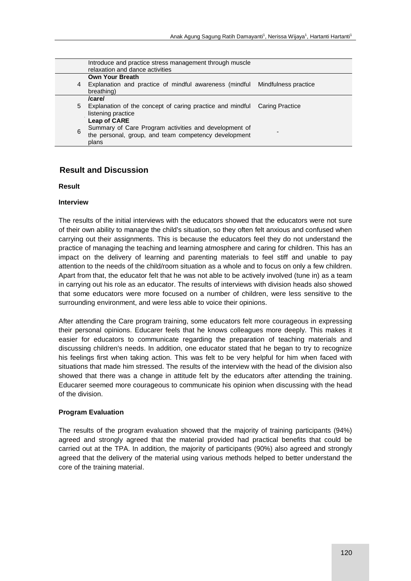|   | Introduce and practice stress management through muscle<br>relaxation and dance activities                             |  |
|---|------------------------------------------------------------------------------------------------------------------------|--|
|   | <b>Own Your Breath</b>                                                                                                 |  |
| 4 | Explanation and practice of mindful awareness (mindful Mindfulness practice<br>breathing)                              |  |
|   | /care/                                                                                                                 |  |
| 5 | Explanation of the concept of caring practice and mindful Caring Practice<br>listening practice                        |  |
|   | <b>Leap of CARE</b>                                                                                                    |  |
| 6 | Summary of Care Program activities and development of<br>the personal, group, and team competency development<br>plans |  |

## **Result and Discussion**

#### **Result**

#### **Interview**

The results of the initial interviews with the educators showed that the educators were not sure of their own ability to manage the child's situation, so they often felt anxious and confused when carrying out their assignments. This is because the educators feel they do not understand the practice of managing the teaching and learning atmosphere and caring for children. This has an impact on the delivery of learning and parenting materials to feel stiff and unable to pay attention to the needs of the child/room situation as a whole and to focus on only a few children. Apart from that, the educator felt that he was not able to be actively involved (tune in) as a team in carrying out his role as an educator. The results of interviews with division heads also showed that some educators were more focused on a number of children, were less sensitive to the surrounding environment, and were less able to voice their opinions.

After attending the Care program training, some educators felt more courageous in expressing their personal opinions. Educarer feels that he knows colleagues more deeply. This makes it easier for educators to communicate regarding the preparation of teaching materials and discussing children's needs. In addition, one educator stated that he began to try to recognize his feelings first when taking action. This was felt to be very helpful for him when faced with situations that made him stressed. The results of the interview with the head of the division also showed that there was a change in attitude felt by the educators after attending the training. Educarer seemed more courageous to communicate his opinion when discussing with the head of the division.

#### **Program Evaluation**

The results of the program evaluation showed that the majority of training participants (94%) agreed and strongly agreed that the material provided had practical benefits that could be carried out at the TPA. In addition, the majority of participants (90%) also agreed and strongly agreed that the delivery of the material using various methods helped to better understand the core of the training material.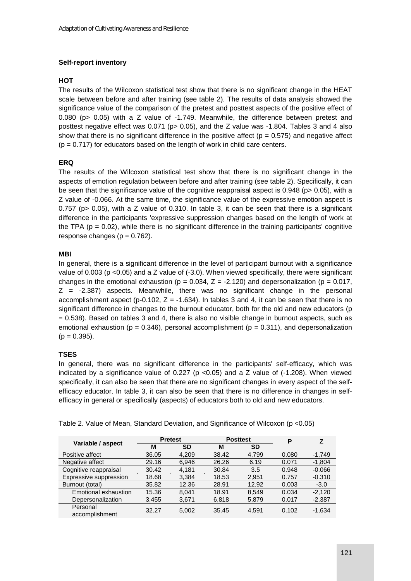## **Self-report inventory**

#### **HOT**

The results of the Wilcoxon statistical test show that there is no significant change in the HEAT scale between before and after training (see table 2). The results of data analysis showed the significance value of the comparison of the pretest and posttest aspects of the positive effect of 0.080 (p> 0.05) with a Z value of -1.749. Meanwhile, the difference between pretest and posttest negative effect was 0.071 (p> 0.05), and the Z value was -1.804. Tables 3 and 4 also show that there is no significant difference in the positive affect ( $p = 0.575$ ) and negative affect  $(p = 0.717)$  for educators based on the length of work in child care centers.

## **ERQ**

The results of the Wilcoxon statistical test show that there is no significant change in the aspects of emotion regulation between before and after training (see table 2). Specifically, it can be seen that the significance value of the cognitive reappraisal aspect is 0.948 (p> 0.05), with a Z value of -0.066. At the same time, the significance value of the expressive emotion aspect is 0.757 ( $p$  > 0.05), with a Z value of 0.310. In table 3, it can be seen that there is a significant difference in the participants 'expressive suppression changes based on the length of work at the TPA ( $p = 0.02$ ), while there is no significant difference in the training participants' cognitive response changes ( $p = 0.762$ ).

#### **MBI**

In general, there is a significant difference in the level of participant burnout with a significance value of 0.003 (p <0.05) and a Z value of (-3.0). When viewed specifically, there were significant changes in the emotional exhaustion ( $p = 0.034$ ,  $Z = -2.120$ ) and depersonalization ( $p = 0.017$ , Z = -2.387) aspects. Meanwhile, there was no significant change in the personal accomplishment aspect (p-0.102,  $Z = -1.634$ ). In tables 3 and 4, it can be seen that there is no significant difference in changes to the burnout educator, both for the old and new educators (p = 0.538). Based on tables 3 and 4, there is also no visible change in burnout aspects, such as emotional exhaustion ( $p = 0.346$ ), personal accomplishment ( $p = 0.311$ ), and depersonalization  $(p = 0.395)$ .

#### **TSES**

In general, there was no significant difference in the participants' self-efficacy, which was indicated by a significance value of  $0.227$  (p < 0.05) and a Z value of  $(-1.208)$ . When viewed specifically, it can also be seen that there are no significant changes in every aspect of the selfefficacy educator. In table 3, it can also be seen that there is no difference in changes in selfefficacy in general or specifically (aspects) of educators both to old and new educators.

|                            | <b>Pretest</b> |           | <b>Posttest</b> |       | P     | z        |
|----------------------------|----------------|-----------|-----------------|-------|-------|----------|
| Variable / aspect          | М              | <b>SD</b> | M               | SD    |       |          |
| Positive affect            | 36.05          | 4.209     | 38.42           | 4,799 | 0.080 | $-1.749$ |
| Negative affect            | 29.16          | 6.946     | 26.26           | 6.19  | 0.071 | $-1.804$ |
| Cognitive reappraisal      | 30.42          | 4.181     | 30.84           | 3.5   | 0.948 | $-0.066$ |
| Expressive suppression     | 18.68          | 3.384     | 18.53           | 2.951 | 0.757 | $-0.310$ |
| Burnout (total)            | 35.82          | 12.36     | 28.91           | 12.92 | 0.003 | $-3.0$   |
| Emotional exhaustion       | 15.36          | 8.041     | 18.91           | 8.549 | 0.034 | $-2.120$ |
| Depersonalization          | 3,455          | 3,671     | 6,818           | 5,879 | 0.017 | $-2,387$ |
| Personal<br>accomplishment | 32.27          | 5,002     | 35.45           | 4,591 | 0.102 | $-1,634$ |

Table 2. Value of Mean, Standard Deviation, and Significance of Wilcoxon (p <0.05)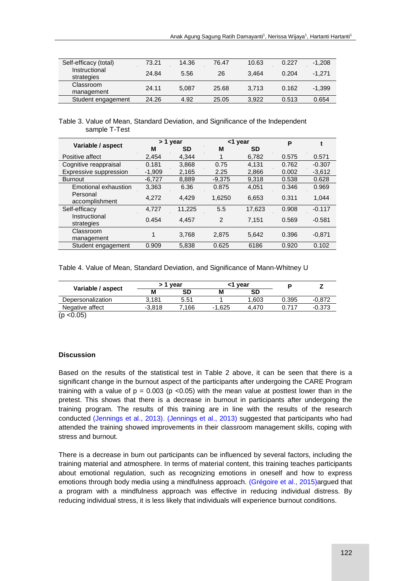| Self-efficacy (total)       | 73.21 | 14.36 | 76.47 | 10.63 | 0.227 | $-1.208$ |
|-----------------------------|-------|-------|-------|-------|-------|----------|
| Instructional<br>strategies | 24.84 | 5.56  | 26    | 3.464 | 0.204 | $-1.271$ |
| Classroom<br>management     | 24.11 | 5.087 | 25.68 | 3.713 | 0.162 | $-1,399$ |
| Student engagement          | 24.26 | 4.92  | 25.05 | 3.922 | 0.513 | 0.654    |

#### Table 3. Value of Mean, Standard Deviation, and Significance of the Independent sample T-Test

|                             | > 1 year |           | <1 year        |           | P     |          |
|-----------------------------|----------|-----------|----------------|-----------|-------|----------|
| Variable / aspect           | М        | <b>SD</b> | M              | <b>SD</b> |       |          |
| Positive affect             | 2.454    | 4.344     |                | 6,782     | 0.575 | 0.571    |
| Cognitive reappraisal       | 0.181    | 3,868     | 0.75           | 4.131     | 0.762 | $-0.307$ |
| Expressive suppression      | $-1,909$ | 2,165     | 2.25           | 2,866     | 0.002 | $-3,612$ |
| <b>Burnout</b>              | $-6,727$ | 8,889     | $-9.375$       | 9.318     | 0.538 | 0.628    |
| Emotional exhaustion        | 3,363    | 6.36      | 0.875          | 4,051     | 0.346 | 0.969    |
| Personal<br>accomplishment  | 4,272    | 4.429     | 1,6250         | 6,653     | 0.311 | 1.044    |
| Self-efficacy               | 4.727    | 11.225    | 5.5            | 17,623    | 0.908 | $-0.117$ |
| Instructional<br>strategies | 0.454    | 4.457     | $\overline{2}$ | 7.151     | 0.569 | $-0.581$ |
| Classroom<br>management     | 1        | 3.768     | 2.875          | 5,642     | 0.396 | $-0.871$ |
| Student engagement          | 0.909    | 5.838     | 0.625          | 6186      | 0.920 | 0.102    |

Table 4. Value of Mean, Standard Deviation, and Significance of Mann-Whitney U

| Variable / aspect | vear     |       | vear     |       |       |          |
|-------------------|----------|-------|----------|-------|-------|----------|
|                   | M        | SD    | М        | SD    |       |          |
| Depersonalization | 3.181    | 5.51  |          | 1.603 | 0.395 | $-0.872$ |
| Negative affect   | $-3.818$ | 7.166 | $-1.625$ | .470  | .717  | $-0.373$ |

 $(p < 0.05)$ 

#### **Discussion**

Based on the results of the statistical test in Table 2 above, it can be seen that there is a significant change in the burnout aspect of the participants after undergoing the CARE Program training with a value of  $p = 0.003$  ( $p < 0.05$ ) with the mean value at posttest lower than in the pretest. This shows that there is a decrease in burnout in participants after undergoing the training program. The results of this training are in line with the results of the research conducted (Jennings et al., 2013). (Jennings et al., 2013) suggested that participants who had attended the training showed improvements in their classroom management skills, coping with stress and burnout.

There is a decrease in burn out participants can be influenced by several factors, including the training material and atmosphere. In terms of material content, this training teaches participants about emotional regulation, such as recognizing emotions in oneself and how to express emotions through body media using a mindfulness approach. (Grégoire et al., 2015)argued that a program with a mindfulness approach was effective in reducing individual distress. By reducing individual stress, it is less likely that individuals will experience burnout conditions.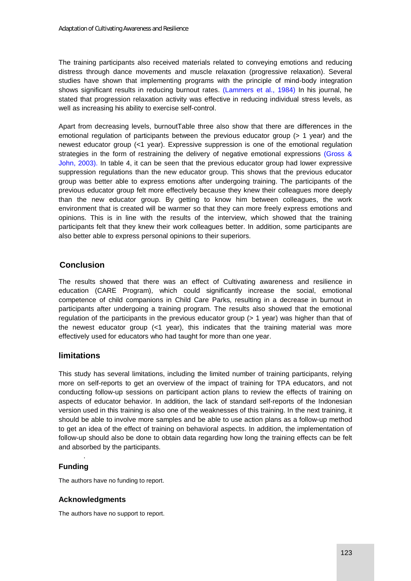The training participants also received materials related to conveying emotions and reducing distress through dance movements and muscle relaxation (progressive relaxation). Several studies have shown that implementing programs with the principle of mind-body integration shows significant results in reducing burnout rates. (Lammers et al., 1984) In his journal, he stated that progression relaxation activity was effective in reducing individual stress levels, as well as increasing his ability to exercise self-control.

Apart from decreasing levels, burnoutTable three also show that there are differences in the emotional regulation of participants between the previous educator group (> 1 year) and the newest educator group (<1 year). Expressive suppression is one of the emotional regulation strategies in the form of restraining the delivery of negative emotional expressions (Gross & John, 2003). In table 4, it can be seen that the previous educator group had lower expressive suppression regulations than the new educator group. This shows that the previous educator group was better able to express emotions after undergoing training. The participants of the previous educator group felt more effectively because they knew their colleagues more deeply than the new educator group. By getting to know him between colleagues, the work environment that is created will be warmer so that they can more freely express emotions and opinions. This is in line with the results of the interview, which showed that the training participants felt that they knew their work colleagues better. In addition, some participants are also better able to express personal opinions to their superiors.

# **Conclusion**

The results showed that there was an effect of Cultivating awareness and resilience in education (CARE Program), which could significantly increase the social, emotional competence of child companions in Child Care Parks, resulting in a decrease in burnout in participants after undergoing a training program. The results also showed that the emotional regulation of the participants in the previous educator group (> 1 year) was higher than that of the newest educator group  $($ <1 year), this indicates that the training material was more effectively used for educators who had taught for more than one year.

# **limitations**

This study has several limitations, including the limited number of training participants, relying more on self-reports to get an overview of the impact of training for TPA educators, and not conducting follow-up sessions on participant action plans to review the effects of training on aspects of educator behavior. In addition, the lack of standard self-reports of the Indonesian version used in this training is also one of the weaknesses of this training. In the next training, it should be able to involve more samples and be able to use action plans as a follow-up method to get an idea of the effect of training on behavioral aspects. In addition, the implementation of follow-up should also be done to obtain data regarding how long the training effects can be felt and absorbed by the participants.

# **Funding**

.

The authors have no funding to report.

#### **Acknowledgments**

The authors have no support to report.